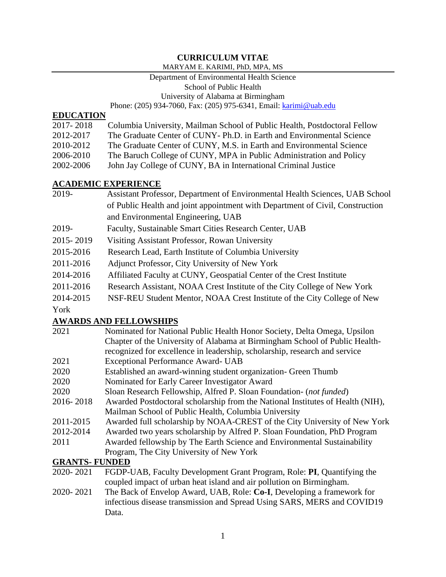# **CURRICULUM VITAE**

#### MARYAM E. KARIMI, PhD, MPA, MS

#### Department of Environmental Health Science

School of Public Health

University of Alabama at Birmingham

Phone: (205) 934-7060, Fax: (205) 975-6341, Email: [karimi@uab.edu](mailto:karimi@uab.edu)

#### **EDUCATION**

| 2017-2018 | Columbia University, Mailman School of Public Health, Postdoctoral Fellow |
|-----------|---------------------------------------------------------------------------|
|-----------|---------------------------------------------------------------------------|

2012-2017 The Graduate Center of CUNY- Ph.D. in Earth and Environmental Science

2010-2012 The Graduate Center of CUNY, M.S. in Earth and Environmental Science

- 2006-2010 The Baruch College of CUNY, MPA in Public Administration and Policy
- 2002-2006 John Jay College of CUNY, BA in International Criminal Justice

## **ACADEMIC EXPERIENCE**

- 2019- Assistant Professor, Department of Environmental Health Sciences, UAB School of Public Health and joint appointment with Department of Civil, Construction and Environmental Engineering, UAB
- 2019- Faculty, Sustainable Smart Cities Research Center, UAB
- 2015- 2019 Visiting Assistant Professor, Rowan University
- 2015-2016 Research Lead, Earth Institute of Columbia University
- 2011-2016 Adjunct Professor, City University of New York
- 2014-2016 Affiliated Faculty at CUNY, Geospatial Center of the Crest Institute
- 2011-2016 Research Assistant, NOAA Crest Institute of the City College of New York
- 2014-2015 NSF-REU Student Mentor, NOAA Crest Institute of the City College of New

York

## **AWARDS AND FELLOWSHIPS**

| 2021                  | Nominated for National Public Health Honor Society, Delta Omega, Upsilon       |  |
|-----------------------|--------------------------------------------------------------------------------|--|
|                       | Chapter of the University of Alabama at Birmingham School of Public Health-    |  |
|                       | recognized for excellence in leadership, scholarship, research and service     |  |
| 2021                  | <b>Exceptional Performance Award- UAB</b>                                      |  |
| 2020                  | Established an award-winning student organization- Green Thumb                 |  |
| 2020                  | Nominated for Early Career Investigator Award                                  |  |
| 2020                  | Sloan Research Fellowship, Alfred P. Sloan Foundation- (not funded)            |  |
| 2016-2018             | Awarded Postdoctoral scholarship from the National Institutes of Health (NIH), |  |
|                       | Mailman School of Public Health, Columbia University                           |  |
| 2011-2015             | Awarded full scholarship by NOAA-CREST of the City University of New York      |  |
| 2012-2014             | Awarded two years scholarship by Alfred P. Sloan Foundation, PhD Program       |  |
| 2011                  | Awarded fellowship by The Earth Science and Environmental Sustainability       |  |
|                       | Program, The City University of New York                                       |  |
| <b>GRANTS- FUNDED</b> |                                                                                |  |

- 2020- 2021 FGDP-UAB, Faculty Development Grant Program, Role: **PI**, Quantifying the coupled impact of urban heat island and air pollution on Birmingham.
- 2020- 2021 The Back of Envelop Award, UAB, Role: **Co-I**, Developing a framework for infectious disease transmission and Spread Using SARS, MERS and COVID19 Data.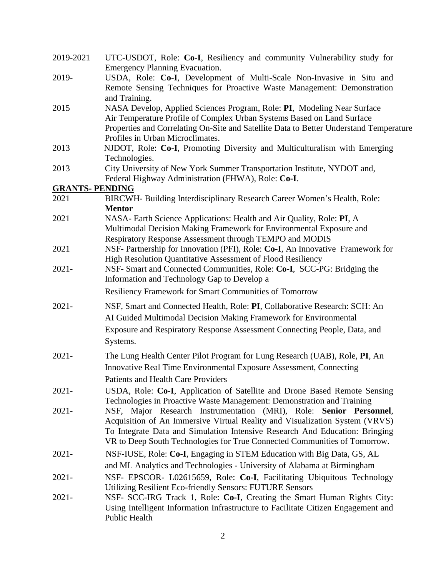| 2019-2021              | UTC-USDOT, Role: Co-I, Resiliency and community Vulnerability study for                                                                                                       |
|------------------------|-------------------------------------------------------------------------------------------------------------------------------------------------------------------------------|
|                        | <b>Emergency Planning Evacuation.</b>                                                                                                                                         |
| 2019-                  | USDA, Role: Co-I, Development of Multi-Scale Non-Invasive in Situ and<br>Remote Sensing Techniques for Proactive Waste Management: Demonstration                              |
|                        | and Training.                                                                                                                                                                 |
| 2015                   | NASA Develop, Applied Sciences Program, Role: PI, Modeling Near Surface<br>Air Temperature Profile of Complex Urban Systems Based on Land Surface                             |
|                        | Properties and Correlating On-Site and Satellite Data to Better Understand Temperature<br>Profiles in Urban Microclimates.                                                    |
| 2013                   | NJDOT, Role: Co-I, Promoting Diversity and Multiculturalism with Emerging<br>Technologies.                                                                                    |
| 2013                   | City University of New York Summer Transportation Institute, NYDOT and,<br>Federal Highway Administration (FHWA), Role: Co-I.                                                 |
| <b>GRANTS- PENDING</b> |                                                                                                                                                                               |
| 2021                   | BIRCWH- Building Interdisciplinary Research Career Women's Health, Role:                                                                                                      |
|                        | <b>Mentor</b>                                                                                                                                                                 |
| 2021                   | NASA- Earth Science Applications: Health and Air Quality, Role: PI, A<br>Multimodal Decision Making Framework for Environmental Exposure and                                  |
|                        | Respiratory Response Assessment through TEMPO and MODIS                                                                                                                       |
| 2021                   | NSF- Partnership for Innovation (PFI), Role: Co-I, An Innovative Framework for<br>High Resolution Quantitative Assessment of Flood Resiliency                                 |
| $2021 -$               | NSF- Smart and Connected Communities, Role: Co-I, SCC-PG: Bridging the<br>Information and Technology Gap to Develop a                                                         |
|                        | Resiliency Framework for Smart Communities of Tomorrow                                                                                                                        |
| $2021 -$               | NSF, Smart and Connected Health, Role: PI, Collaborative Research: SCH: An                                                                                                    |
|                        | AI Guided Multimodal Decision Making Framework for Environmental                                                                                                              |
|                        | Exposure and Respiratory Response Assessment Connecting People, Data, and                                                                                                     |
|                        | Systems.                                                                                                                                                                      |
| $2021 -$               | The Lung Health Center Pilot Program for Lung Research (UAB), Role, PI, An                                                                                                    |
|                        | Innovative Real Time Environmental Exposure Assessment, Connecting                                                                                                            |
|                        | Patients and Health Care Providers                                                                                                                                            |
| $2021 -$               | USDA, Role: Co-I, Application of Satellite and Drone Based Remote Sensing<br>Technologies in Proactive Waste Management: Demonstration and Training                           |
| $2021 -$               | NSF, Major Research Instrumentation (MRI), Role: Senior Personnel,<br>Acquisition of An Immersive Virtual Reality and Visualization System (VRVS)                             |
|                        | To Integrate Data and Simulation Intensive Research And Education: Bringing<br>VR to Deep South Technologies for True Connected Communities of Tomorrow.                      |
| $2021 -$               | NSF-IUSE, Role: Co-I, Engaging in STEM Education with Big Data, GS, AL                                                                                                        |
|                        | and ML Analytics and Technologies - University of Alabama at Birmingham                                                                                                       |
| $2021 -$               | NSF- EPSCOR- L02615659, Role: Co-I, Facilitating Ubiquitous Technology                                                                                                        |
|                        | <b>Utilizing Resilient Eco-friendly Sensors: FUTURE Sensors</b>                                                                                                               |
| $2021 -$               | NSF- SCC-IRG Track 1, Role: Co-I, Creating the Smart Human Rights City:<br>Using Intelligent Information Infrastructure to Facilitate Citizen Engagement and<br>Public Health |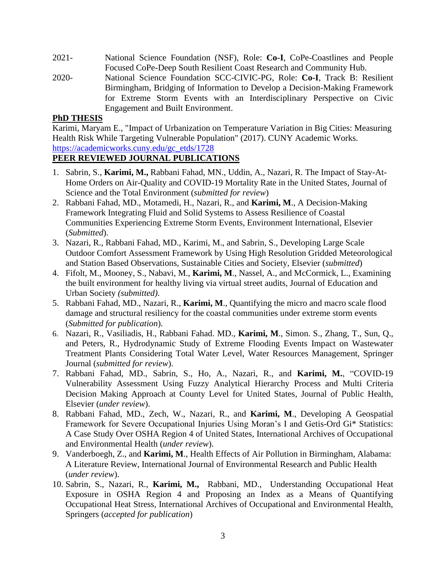- 2021- National Science Foundation (NSF), Role: **Co-I**, CoPe-Coastlines and People Focused CoPe-Deep South Resilient Coast Research and Community Hub.
- 2020- National Science Foundation SCC-CIVIC-PG, Role: **Co-I**, Track B: Resilient Birmingham, Bridging of Information to Develop a Decision-Making Framework for Extreme Storm Events with an Interdisciplinary Perspective on Civic Engagement and Built Environment.

#### **PhD THESIS**

Karimi, Maryam E., "Impact of Urbanization on Temperature Variation in Big Cities: Measuring Health Risk While Targeting Vulnerable Population" (2017). CUNY Academic Works. [https://academicworks.cuny.edu/gc\\_etds/1728](https://academicworks.cuny.edu/gc_etds/1728)

## **PEER REVIEWED JOURNAL PUBLICATIONS**

- 1. Sabrin, S., **Karimi, M.,** Rabbani Fahad, MN., Uddin, A., Nazari, R. The Impact of Stay-At-Home Orders on Air-Quality and COVID-19 Mortality Rate in the United States, Journal of Science and the Total Environment (*submitted for review*)
- 2. Rabbani Fahad, MD., Motamedi, H., Nazari, R., and **Karimi, M**., A Decision-Making Framework Integrating Fluid and Solid Systems to Assess Resilience of Coastal Communities Experiencing Extreme Storm Events, Environment International, Elsevier (*Submitted*).
- 3. Nazari, R., Rabbani Fahad, MD., Karimi, M., and Sabrin, S., Developing Large Scale Outdoor Comfort Assessment Framework by Using High Resolution Gridded Meteorological and Station Based Observations, Sustainable Cities and Society, Elsevier (*submitted*)
- 4. Fifolt, M., Mooney, S., Nabavi, M., **Karimi, M**., Nassel, A., and McCormick, L., Examining the built environment for healthy living via virtual street audits, Journal of Education and Urban Society *(submitted).*
- 5. Rabbani Fahad, MD., Nazari, R., **Karimi, M**., Quantifying the micro and macro scale flood damage and structural resiliency for the coastal communities under extreme storm events (*Submitted for publication*).
- 6. Nazari, R., Vasiliadis, H., Rabbani Fahad. MD., **Karimi, M**., Simon. S., Zhang, T., Sun, Q., and Peters, R., Hydrodynamic Study of Extreme Flooding Events Impact on Wastewater Treatment Plants Considering Total Water Level, Water Resources Management, Springer Journal (*submitted for review*).
- 7. Rabbani Fahad, MD., Sabrin, S., Ho, A., Nazari, R., and **Karimi, M.**, "COVID-19 Vulnerability Assessment Using Fuzzy Analytical Hierarchy Process and Multi Criteria Decision Making Approach at County Level for United States, Journal of Public Health, Elsevier (*under review*).
- 8. Rabbani Fahad, MD., Zech, W., Nazari, R., and **Karimi, M**., Developing A Geospatial Framework for Severe Occupational Injuries Using Moran's I and Getis-Ord Gi\* Statistics: A Case Study Over OSHA Region 4 of United States, International Archives of Occupational and Environmental Health (*under review*).
- 9. Vanderboegh, Z., and **Karimi, M**., Health Effects of Air Pollution in Birmingham, Alabama: A Literature Review, International Journal of Environmental Research and Public Health (*under review*).
- 10. Sabrin, S., Nazari, R., **Karimi, M.,** Rabbani, MD., Understanding Occupational Heat Exposure in OSHA Region 4 and Proposing an Index as a Means of Quantifying Occupational Heat Stress, International Archives of Occupational and Environmental Health, Springers (*accepted for publication*)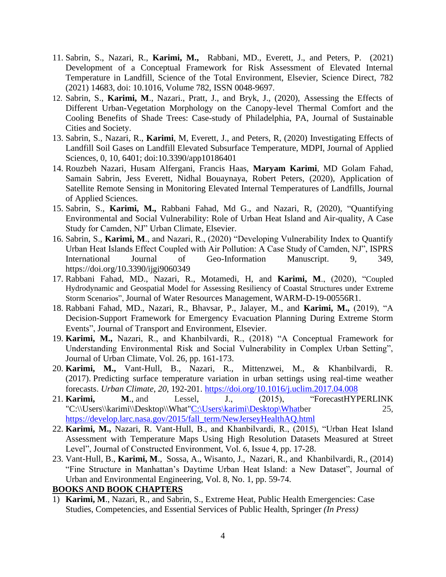- 11. Sabrin, S., Nazari, R., **Karimi, M.,** Rabbani, MD., Everett, J., and Peters, P. (2021) Development of a Conceptual Framework for Risk Assessment of Elevated Internal Temperature in Landfill, Science of the Total Environment, Elsevier, Science Direct, 782 (2021) 14683, doi: 10.1016, Volume 782, ISSN 0048-9697.
- 12. Sabrin, S., **Karimi, M**., Nazari., Pratt, J., and Bryk, J., (2020), Assessing the Effects of Different Urban-Vegetation Morphology on the Canopy-level Thermal Comfort and the Cooling Benefits of Shade Trees: Case-study of Philadelphia, PA, Journal of Sustainable Cities and Society.
- 13. Sabrin, S., Nazari, R., **Karimi**, M, Everett, J., and Peters, R, (2020) Investigating Effects of Landfill Soil Gases on Landfill Elevated Subsurface Temperature, MDPI, Journal of Applied Sciences, 0, 10, 6401; doi:10.3390/app10186401
- 14. Rouzbeh Nazari, Husam Alfergani, Francis Haas, **Maryam Karimi**, MD Golam Fahad, Samain Sabrin, Jess Everett, Nidhal Bouaynaya, Robert Peters, (2020), Application of Satellite Remote Sensing in Monitoring Elevated Internal Temperatures of Landfills, Journal of Applied Sciences.
- 15. Sabrin, S., **Karimi, M.,** Rabbani Fahad, Md G., and Nazari, R, (2020), "Quantifying Environmental and Social Vulnerability: Role of Urban Heat Island and Air-quality, A Case Study for Camden, NJ" Urban Climate, Elsevier.
- 16. Sabrin, S., **Karimi, M**., and Nazari, R., (2020) "Developing Vulnerability Index to Quantify Urban Heat Islands Effect Coupled with Air Pollution: A Case Study of Camden, NJ", ISPRS International Journal of Geo-Information Manuscript. 9, 349, <https://doi.org/10.3390/ijgi9060349>
- 17. Rabbani Fahad, MD., Nazari, R., Motamedi, H, and **Karimi, M**., (2020), "Coupled Hydrodynamic and Geospatial Model for Assessing Resiliency of Coastal Structures under Extreme Storm Scenarios", Journal of Water Resources Management, WARM-D-19-00556R1.
- 18. Rabbani Fahad, MD., Nazari, R., Bhavsar, P., Jalayer, M., and **Karimi, M.,** (2019), "A Decision-Support Framework for Emergency Evacuation Planning During Extreme Storm Events", Journal of Transport and Environment, Elsevier.
- 19. **Karimi, M.,** Nazari, R., and Khanbilvardi, R., (2018) "A Conceptual Framework for Understanding Environmental Risk and Social Vulnerability in Complex Urban Setting", Journal of Urban Climate, Vol. 26, pp. 161-173.
- 20. **Karimi, M.,** Vant-Hull, B., Nazari, R., Mittenzwei, M., & Khanbilvardi, R. (2017). Predicting surface temperature variation in urban settings using real-time weather forecasts. *Urban Climate*, *20*, 192-201. https://doi.org/10.1016/j.uclim.2017.04.008
- 21. **Karimi, M**., and Lessel, J., (2015), "ForecastHYPERLINK "C:\\Users\\karimi\\Desktop\\What"C:\Users\karimi\Desktop\Whatber 25, [https://develop.larc.nasa.gov/2015/fall\\_term/NewJerseyHealthAQ.html](https://develop.larc.nasa.gov/2015/fall_term/NewJerseyHealthAQ.html)
- 22. **Karimi, M.,** Nazari, R. Vant-Hull, B., and Khanbilvardi, R., (2015), "Urban Heat Island Assessment with Temperature Maps Using High Resolution Datasets Measured at Street Level", Journal of Constructed Environment, Vol. 6, Issue 4, pp. 17-28.
- 23. Vant-Hull, B., **Karimi, M**., Sossa, A., Wisanto, J., Nazari, R., and Khanbilvardi, R., (2014) "Fine Structure in Manhattan's Daytime Urban Heat Island: a New Dataset", Journal of Urban and Environmental Engineering, Vol. 8, No. 1, pp. 59-74.

#### **BOOKS AND BOOK CHAPTERS**

1) **Karimi, M**., Nazari, R., and Sabrin, S., Extreme Heat, Public Health Emergencies: Case Studies, Competencies, and Essential Services of Public Health, Springer *(In Press)*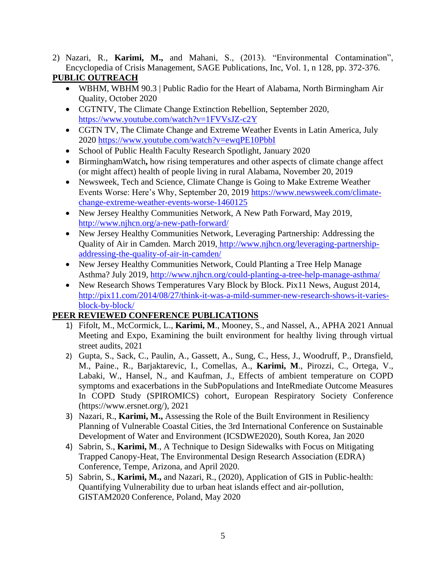2) Nazari, R., **Karimi, M.,** and Mahani, S., (2013). "Environmental Contamination", Encyclopedia of Crisis Management, SAGE Publications, Inc, Vol. 1, n 128, pp. 372-376.

## **PUBLIC OUTREACH**

- WBHM, [WBHM 90.3 | Public Radio for](https://wbhm.org/) the Heart of Alabama, North Birmingham Air Quality, October 2020
- CGTNTV, The Climate Change Extinction Rebellion, September 2020, <https://www.youtube.com/watch?v=1FVVsJZ-c2Y>
- CGTN TV, The Climate Change and Extreme Weather Events in Latin America, July 2020 <https://www.youtube.com/watch?v=ewqPE10PbbI>
- School of Public Health Faculty Research Spotlight, January 2020
- BirminghamWatch**,** how rising temperatures and other aspects of climate change affect (or might affect) health of people living in rural Alabama, November 20, 2019
- Newsweek, Tech and Science, Climate Change is Going to Make Extreme Weather Events Worse: Here's Why, September 20, 2019 [https://www.newsweek.com/climate](https://www.newsweek.com/climate-change-extreme-weather-events-worse-1460125)[change-extreme-weather-events-worse-1460125](https://www.newsweek.com/climate-change-extreme-weather-events-worse-1460125)
- New Jersey Healthy Communities Network, A New Path Forward, May 2019, <http://www.njhcn.org/a-new-path-forward/>
- New Jersey Healthy Communities Network, Leveraging Partnership: Addressing the Quality of Air in Camden. March 2019, [http://www.njhcn.org/leveraging-partnership](http://www.njhcn.org/leveraging-partnership-addressing-the-quality-of-air-in-camden/)[addressing-the-quality-of-air-in-camden/](http://www.njhcn.org/leveraging-partnership-addressing-the-quality-of-air-in-camden/)
- New Jersey Healthy Communities Network, Could Planting a Tree Help Manage Asthma? July 2019,<http://www.njhcn.org/could-planting-a-tree-help-manage-asthma/>
- New Research Shows Temperatures Vary Block by Block. Pix11 News, August 2014, [http://pix11.com/2014/08/27/think-it-was-a-mild-summer-new-research-shows-it-varies](http://pix11.com/2014/08/27/think-it-was-a-mild-summer-new-research-shows-it-varies-block-by-block/)[block-by-block/](http://pix11.com/2014/08/27/think-it-was-a-mild-summer-new-research-shows-it-varies-block-by-block/)

## **PEER REVIEWED CONFERENCE PUBLICATIONS**

- 1) Fifolt, M., McCormick, L., **Karimi, M**., Mooney, S., and Nassel, A., APHA 2021 Annual Meeting and Expo, Examining the built environment for healthy living through virtual street audits, 2021
- 2) Gupta, S., Sack, C., Paulin, A., Gassett, A., Sung, C., Hess, J., Woodruff, P., Dransfield, M., Paine., R., Barjaktarevic, I., Comellas, A., **Karimi, M**., Pirozzi, C., Ortega, V., Labaki, W., Hansel, N., and Kaufman, J., Effects of ambient temperature on COPD symptoms and exacerbations in the SubPopulations and InteRmediate Outcome Measures In COPD Study (SPIROMICS) cohort, European Respiratory Society Conference [\(https://www.ersnet.org/\)](https://www.ersnet.org/), 2021
- 3) Nazari, R., **Karimi, M.,** Assessing the Role of the Built Environment in Resiliency Planning of Vulnerable Coastal Cities, the 3rd International Conference on Sustainable Development of Water and Environment (ICSDWE2020), South Korea, Jan 2020
- 4) Sabrin, S., **Karimi, M**., A Technique to Design Sidewalks with Focus on Mitigating Trapped Canopy-Heat, The Environmental Design Research Association (EDRA) Conference, Tempe, Arizona, and April 2020.
- 5) Sabrin, S., **Karimi, M.,** and Nazari, R., (2020), Application of GIS in Public-health: Quantifying Vulnerability due to urban heat islands effect and air-pollution, GISTAM2020 Conference, Poland, May 2020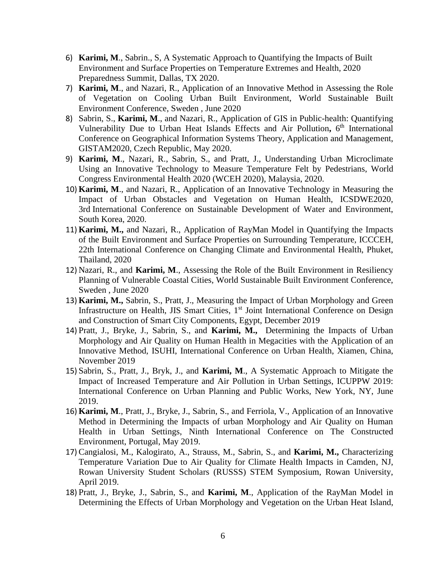- 6) **Karimi, M**., Sabrin., S, A Systematic Approach to Quantifying the Impacts of Built Environment and Surface Properties on Temperature Extremes and Health, 2020 Preparedness Summit, Dallas, TX 2020.
- 7) **Karimi, M**., and Nazari, R., Application of an Innovative Method in Assessing the Role of Vegetation on Cooling Urban Built Environment, World Sustainable Built Environment Conference, Sweden , June 2020
- 8) Sabrin, S., **Karimi, M**., and Nazari, R., Application of GIS in Public-health: Quantifying Vulnerability Due to Urban Heat Islands Effects and Air Pollution, 6<sup>th</sup> International Conference on Geographical Information Systems Theory, Application and Management, GISTAM2020, Czech Republic, May 2020.
- 9) **Karimi, M**., Nazari, R., Sabrin, S., and Pratt, J., Understanding Urban Microclimate Using an Innovative Technology to Measure Temperature Felt by Pedestrians, World Congress Environmental Health 2020 (WCEH 2020), Malaysia, 2020.
- 10) **Karimi, M**., and Nazari, R., Application of an Innovative Technology in Measuring the Impact of Urban Obstacles and Vegetation on Human Health, ICSDWE2020, 3rd International Conference on Sustainable Development of Water and Environment, South Korea, 2020.
- 11) **Karimi, M.,** and Nazari, R., Application of RayMan Model in Quantifying the Impacts of the Built Environment and Surface Properties on Surrounding Temperature, ICCCEH, 22th International Conference on Changing Climate and Environmental Health, Phuket, Thailand, 2020
- 12) Nazari, R., and **Karimi, M**., Assessing the Role of the Built Environment in Resiliency Planning of Vulnerable Coastal Cities, World Sustainable Built Environment Conference, Sweden , June 2020
- 13) **Karimi, M.,** Sabrin, S., Pratt, J., Measuring the Impact of Urban Morphology and Green Infrastructure on Health, JIS Smart Cities, 1<sup>st</sup> Joint International Conference on Design and Construction of Smart City Components, Egypt, December 2019
- 14) Pratt, J., Bryke, J., Sabrin, S., and **Karimi, M.,** Determining the Impacts of Urban Morphology and Air Quality on Human Health in Megacities with the Application of an Innovative Method, ISUHI, International Conference on Urban Health, Xiamen, China, November 2019
- 15) Sabrin, S., Pratt, J., Bryk, J., and **Karimi, M**., A Systematic Approach to Mitigate the Impact of Increased Temperature and Air Pollution in Urban Settings, ICUPPW 2019: International Conference on Urban Planning and Public Works, New York, NY, June 2019.
- 16) **Karimi, M**., Pratt, J., Bryke, J., Sabrin, S., and Ferriola, V., Application of an Innovative Method in Determining the Impacts of urban Morphology and Air Quality on Human Health in Urban Settings, Ninth International Conference on The Constructed Environment, Portugal, May 2019.
- 17) Cangialosi, M., Kalogirato, A., Strauss, M., Sabrin, S., and **Karimi, M.,** Characterizing Temperature Variation Due to Air Quality for Climate Health Impacts in Camden, NJ, Rowan University Student Scholars (RUSSS) STEM Symposium, Rowan University, April 2019.
- 18) Pratt, J., Bryke, J., Sabrin, S., and **Karimi, M**., Application of the RayMan Model in Determining the Effects of Urban Morphology and Vegetation on the Urban Heat Island,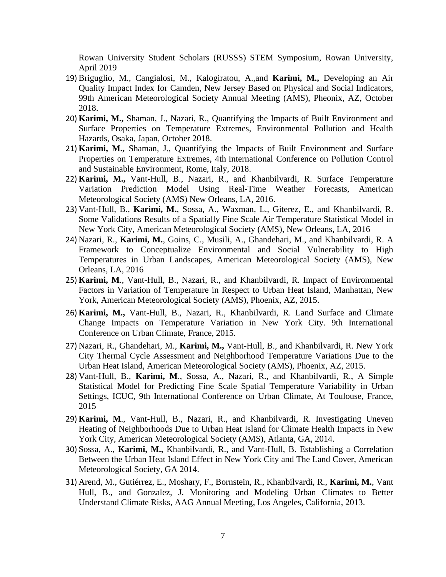Rowan University Student Scholars (RUSSS) STEM Symposium, Rowan University, April 2019

- 19) Briguglio, M., Cangialosi, M., Kalogiratou, A.,and **Karimi, M.,** Developing an Air Quality Impact Index for Camden, New Jersey Based on Physical and Social Indicators, 99th American Meteorological Society Annual Meeting (AMS), Pheonix, AZ, October 2018.
- 20) **Karimi, M.,** Shaman, J., Nazari, R., Quantifying the Impacts of Built Environment and Surface Properties on Temperature Extremes, Environmental Pollution and Health Hazards, Osaka, Japan, October 2018.
- 21) **Karimi, M.,** Shaman, J., Quantifying the Impacts of Built Environment and Surface Properties on Temperature Extremes, 4th International Conference on Pollution Control and Sustainable Environment, Rome, Italy, 2018.
- 22) **Karimi, M.,** Vant-Hull, B., Nazari, R., and Khanbilvardi, R. Surface Temperature Variation Prediction Model Using Real-Time Weather Forecasts, American Meteorological Society (AMS) New Orleans, LA, 2016.
- 23) Vant-Hull, B., **Karimi, M.**, Sossa, A., Waxman, L., Giterez, E., and Khanbilvardi, R. Some Validations Results of a Spatially Fine Scale Air Temperature Statistical Model in New York City, American Meteorological Society (AMS), New Orleans, LA, 2016
- 24) Nazari, R., **Karimi, M.**, Goins, C., Musili, A., Ghandehari, M., and Khanbilvardi, R. A Framework to Conceptualize Environmental and Social Vulnerability to High Temperatures in Urban Landscapes, American Meteorological Society (AMS), New Orleans, LA, 2016
- 25) **Karimi, M**., Vant-Hull, B., Nazari, R., and Khanbilvardi, R. Impact of Environmental Factors in Variation of Temperature in Respect to Urban Heat Island, Manhattan, New York, American Meteorological Society (AMS), Phoenix, AZ, 2015.
- 26) **Karimi, M.,** Vant-Hull, B., Nazari, R., Khanbilvardi, R. Land Surface and Climate Change Impacts on Temperature Variation in New York City. 9th International Conference on Urban Climate, France, 2015.
- 27) Nazari, R., Ghandehari, M., **Karimi, M.,** Vant-Hull, B., and Khanbilvardi, R. New York City Thermal Cycle Assessment and Neighborhood Temperature Variations Due to the Urban Heat Island, American Meteorological Society (AMS), Phoenix, AZ, 2015.
- 28) Vant-Hull, B., **Karimi, M**., Sossa, A., Nazari, R., and Khanbilvardi, R., A Simple Statistical Model for Predicting Fine Scale Spatial Temperature Variability in Urban Settings, ICUC, 9th International Conference on Urban Climate, At Toulouse, France, 2015
- 29) **Karimi, M**., Vant-Hull, B., Nazari, R., and Khanbilvardi, R. Investigating Uneven Heating of Neighborhoods Due to Urban Heat Island for Climate Health Impacts in New York City, American Meteorological Society (AMS), Atlanta, GA, 2014.
- 30) Sossa, A., **Karimi, M.,** Khanbilvardi, R., and Vant-Hull, B. Establishing a Correlation Between the Urban Heat Island Effect in New York City and The Land Cover, American Meteorological Society, GA 2014.
- 31) Arend, M., Gutiérrez, E., Moshary, F., Bornstein, R., Khanbilvardi, R., **Karimi, M.**, Vant Hull, B., and Gonzalez, J. Monitoring and Modeling Urban Climates to Better Understand Climate Risks, AAG Annual Meeting, Los Angeles, California, 2013.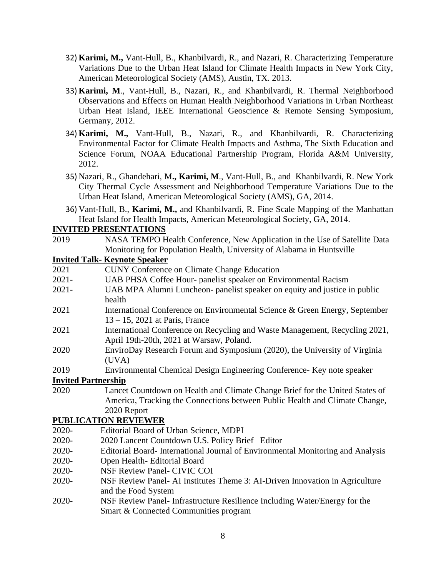- 32) **Karimi, M.,** Vant-Hull, B., Khanbilvardi, R., and Nazari, R. Characterizing Temperature Variations Due to the Urban Heat Island for Climate Health Impacts in New York City, American Meteorological Society (AMS), Austin, TX. 2013.
- 33) **Karimi, M**., Vant-Hull, B., Nazari, R., and Khanbilvardi, R. Thermal Neighborhood Observations and Effects on Human Health Neighborhood Variations in Urban Northeast Urban Heat Island, IEEE International Geoscience & Remote Sensing Symposium, Germany, 2012.
- 34) **Karimi, M.,** Vant-Hull, B., Nazari, R., and Khanbilvardi, R. Characterizing Environmental Factor for Climate Health Impacts and Asthma, The Sixth Education and Science Forum, NOAA Educational Partnership Program, Florida A&M University, 2012.
- 35) Nazari, R., Ghandehari, M**., Karimi, M**., Vant-Hull, B., and Khanbilvardi, R. New York City Thermal Cycle Assessment and Neighborhood Temperature Variations Due to the Urban Heat Island, American Meteorological Society (AMS), GA, 2014.
- 36) Vant-Hull, B., **Karimi, M.,** and Khanbilvardi, R. Fine Scale Mapping of the Manhattan Heat Island for Health Impacts, American Meteorological Society, GA, 2014.

#### **INVITED PRESENTATIONS**

2019 NASA TEMPO Health Conference, New Application in the Use of Satellite Data Monitoring for Population Health, University of Alabama in Huntsville

#### **Invited Talk- Keynote Speaker**

- 2021 CUNY Conference on Climate Change Education 2021- UAB PHSA Coffee Hour- panelist speaker on Environmental Racism 2021- UAB MPA Alumni Luncheon- panelist speaker on equity and justice in public health 2021 International Conference on Environmental Science & Green Energy, September 13 – 15, 2021 at Paris, France 2021 International Conference on Recycling and Waste Management, Recycling 2021, April 19th-20th, 2021 at Warsaw, Poland. 2020 EnviroDay Research Forum and Symposium (2020), the University of Virginia (UVA) 2019 Environmental Chemical Design Engineering Conference- Key note speaker **Invited Partnership** 2020 Lancet Countdown on Health and Climate Change Brief for the United States of America, Tracking the Connections between Public Health and Climate Change, 2020 Report **PUBLICATION REVIEWER**  2020- Editorial Board of Urban Science, MDPI 2020- 2020 Lancent Countdown U.S. Policy Brief –Editor 2020- Editorial Board- International Journal of Environmental Monitoring and Analysis 2020- Open Health- Editorial Board 2020- NSF Review Panel- CIVIC COI 2020- NSF Review Panel- AI Institutes Theme 3: AI-Driven Innovation in Agriculture and the Food System
- 2020- NSF Review Panel- Infrastructure Resilience Including Water/Energy for the Smart & Connected Communities program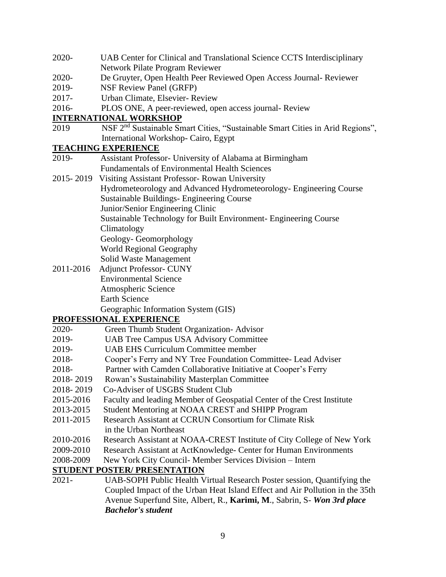- 2020- UAB Center for Clinical and Translational Science CCTS Interdisciplinary Network Pilate Program Reviewer
- 2020- De Gruyter, Open Health Peer Reviewed Open Access Journal- Reviewer
- 2019- NSF Review Panel (GRFP)
- 2017- Urban Climate, Elsevier- Review
- 2016- PLOS ONE, A peer-reviewed, open access journal- Review

#### **INTERNATIONAL WORKSHOP**

2019 NSF 2nd Sustainable Smart Cities, "Sustainable Smart Cities in Arid Regions", International Workshop- Cairo, Egypt

### **TEACHING EXPERIENCE**

- 2019- Assistant Professor- University of Alabama at Birmingham Fundamentals of Environmental Health Sciences
- 2015- 2019 Visiting Assistant Professor- Rowan University Hydrometeorology and Advanced Hydrometeorology- Engineering Course Sustainable Buildings- Engineering Course Junior/Senior Engineering Clinic Sustainable Technology for Built Environment- Engineering Course Climatology
	- Geology- Geomorphology

World Regional Geography

- Solid Waste Management
- 2011-2016 Adjunct Professor- CUNY Environmental Science Atmospheric Science Earth Science

## Geographic Information System (GIS)

### **PROFESSIONAL EXPERIENCE**

- 2020- Green Thumb Student Organization- Advisor
- 2019- UAB Tree Campus USA Advisory Committee
- 2019- UAB EHS Curriculum Committee member
- 2018- Cooper's Ferry and NY Tree Foundation Committee- Lead Adviser
- 2018- Partner with Camden Collaborative Initiative at Cooper's Ferry
- 2018- 2019 Rowan's Sustainability Masterplan Committee
- 2018- 2019 Co-Adviser of USGBS Student Club
- 2015-2016 Faculty and leading Member of Geospatial Center of the Crest Institute
- 2013-2015 Student Mentoring at NOAA CREST and SHIPP Program
- 2011-2015 Research Assistant at CCRUN Consortium for Climate Risk in the Urban Northeast
- 2010-2016 Research Assistant at NOAA-CREST Institute of City College of New York
- 2009-2010 Research Assistant at ActKnowledge- Center for Human Environments
- 2008-2009 New York City Council- Member Services Division Intern

### **STUDENT POSTER/ PRESENTATION**

2021- UAB-SOPH Public Health Virtual Research Poster session, Quantifying the Coupled Impact of the Urban Heat Island Effect and Air Pollution in the 35th Avenue Superfund Site, Albert, R., **Karimi, M**., Sabrin, S- *Won 3rd place Bachelor's student*